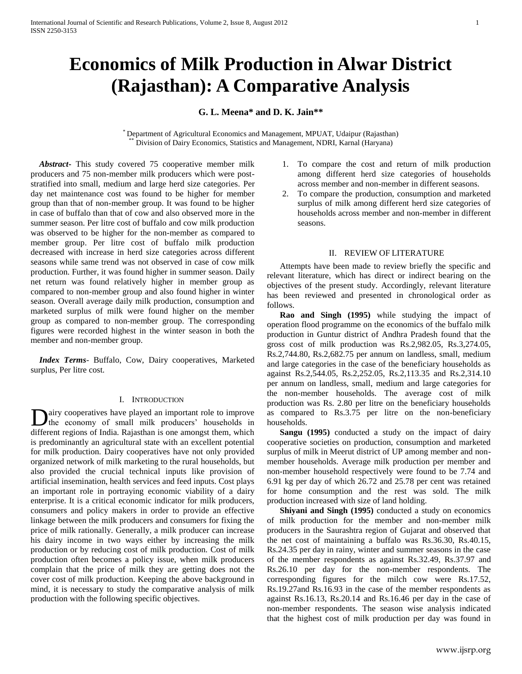# **Economics of Milk Production in Alwar District (Rajasthan): A Comparative Analysis**

**G. L. Meena\* and D. K. Jain\*\***

Department of Agricultural Economics and Management, MPUAT, Udaipur (Rajasthan) Division of Dairy Economics, Statistics and Management, NDRI, Karnal (Haryana)

 *Abstract***-** This study covered 75 cooperative member milk producers and 75 non-member milk producers which were poststratified into small, medium and large herd size categories. Per day net maintenance cost was found to be higher for member group than that of non-member group. It was found to be higher in case of buffalo than that of cow and also observed more in the summer season. Per litre cost of buffalo and cow milk production was observed to be higher for the non-member as compared to member group. Per litre cost of buffalo milk production decreased with increase in herd size categories across different seasons while same trend was not observed in case of cow milk production. Further, it was found higher in summer season. Daily net return was found relatively higher in member group as compared to non-member group and also found higher in winter season. Overall average daily milk production, consumption and marketed surplus of milk were found higher on the member group as compared to non-member group. The corresponding figures were recorded highest in the winter season in both the member and non-member group.

 *Index Terms*- Buffalo, Cow, Dairy cooperatives, Marketed surplus, Per litre cost.

## I. INTRODUCTION

airy cooperatives have played an important role to improve the economy of small milk producers' households in **D**airy cooperatives have played an important role to improve the economy of small milk producers' households in different regions of India. Rajasthan is one amongst them, which is predominantly an agricultural state with an excellent potential for milk production. Dairy cooperatives have not only provided organized network of milk marketing to the rural households, but also provided the crucial technical inputs like provision of artificial insemination, health services and feed inputs. Cost plays an important role in portraying economic viability of a dairy enterprise. It is a critical economic indicator for milk producers, consumers and policy makers in order to provide an effective linkage between the milk producers and consumers for fixing the price of milk rationally. Generally, a milk producer can increase his dairy income in two ways either by increasing the milk production or by reducing cost of milk production. Cost of milk production often becomes a policy issue, when milk producers complain that the price of milk they are getting does not the cover cost of milk production. Keeping the above background in mind, it is necessary to study the comparative analysis of milk production with the following specific objectives.

- 1. To compare the cost and return of milk production among different herd size categories of households across member and non-member in different seasons.
- 2. To compare the production, consumption and marketed surplus of milk among different herd size categories of households across member and non-member in different seasons.

#### II. REVIEW OF LITERATURE

 Attempts have been made to review briefly the specific and relevant literature, which has direct or indirect bearing on the objectives of the present study. Accordingly, relevant literature has been reviewed and presented in chronological order as follows.

 **Rao and Singh (1995)** while studying the impact of operation flood programme on the economics of the buffalo milk production in Guntur district of Andhra Pradesh found that the gross cost of milk production was Rs.2,982.05, Rs.3,274.05, Rs.2,744.80, Rs.2,682.75 per annum on landless, small, medium and large categories in the case of the beneficiary households as against Rs.2,544.05, Rs.2,252.05, Rs.2,113.35 and Rs.2,314.10 per annum on landless, small, medium and large categories for the non-member households. The average cost of milk production was Rs. 2.80 per litre on the beneficiary households as compared to Rs.3.75 per litre on the non-beneficiary households.

 **Sangu (1995)** conducted a study on the impact of dairy cooperative societies on production, consumption and marketed surplus of milk in Meerut district of UP among member and nonmember households. Average milk production per member and non-member household respectively were found to be 7.74 and 6.91 kg per day of which 26.72 and 25.78 per cent was retained for home consumption and the rest was sold. The milk production increased with size of land holding.

 **Shiyani and Singh (1995)** conducted a study on economics of milk production for the member and non-member milk producers in the Saurashtra region of Gujarat and observed that the net cost of maintaining a buffalo was Rs.36.30, Rs.40.15, Rs.24.35 per day in rainy, winter and summer seasons in the case of the member respondents as against Rs.32.49, Rs.37.97 and Rs.26.10 per day for the non-member respondents. The corresponding figures for the milch cow were Rs.17.52, Rs.19.27and Rs.16.93 in the case of the member respondents as against Rs.16.13, Rs.20.14 and Rs.16.46 per day in the case of non-member respondents. The season wise analysis indicated that the highest cost of milk production per day was found in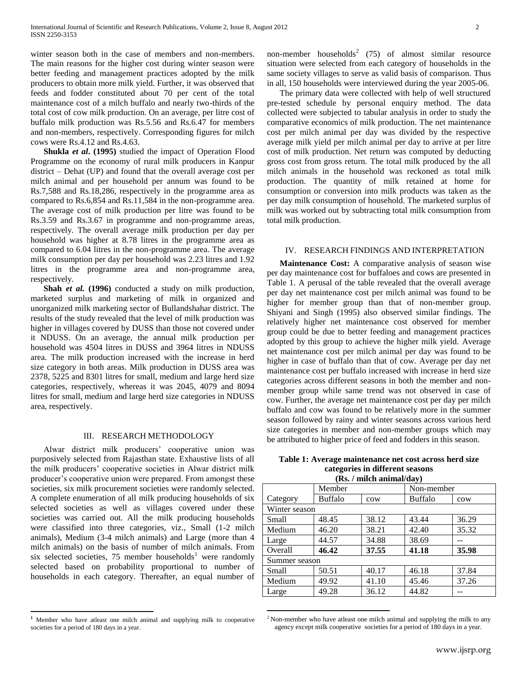winter season both in the case of members and non-members. The main reasons for the higher cost during winter season were better feeding and management practices adopted by the milk producers to obtain more milk yield. Further, it was observed that feeds and fodder constituted about 70 per cent of the total maintenance cost of a milch buffalo and nearly two-thirds of the total cost of cow milk production. On an average, per litre cost of buffalo milk production was Rs.5.56 and Rs.6.47 for members and non-members, respectively. Corresponding figures for milch cows were Rs.4.12 and Rs.4.63.

 **Shukla** *et al***. (1995)** studied the impact of Operation Flood Programme on the economy of rural milk producers in Kanpur district – Dehat (UP) and found that the overall average cost per milch animal and per household per annum was found to be Rs.7,588 and Rs.18,286, respectively in the programme area as compared to Rs.6,854 and Rs.11,584 in the non-programme area. The average cost of milk production per litre was found to be Rs.3.59 and Rs.3.67 in programme and non-programme areas, respectively. The overall average milk production per day per household was higher at 8.78 litres in the programme area as compared to 6.04 litres in the non-programme area. The average milk consumption per day per household was 2.23 litres and 1.92 litres in the programme area and non-programme area, respectively.

 **Shah** *et al.* **(1996)** conducted a study on milk production, marketed surplus and marketing of milk in organized and unorganized milk marketing sector of Bullandshahar district. The results of the study revealed that the level of milk production was higher in villages covered by DUSS than those not covered under it NDUSS. On an average, the annual milk production per household was 4504 litres in DUSS and 3964 litres in NDUSS area. The milk production increased with the increase in herd size category in both areas. Milk production in DUSS area was 2378, 5225 and 8301 litres for small, medium and large herd size categories, respectively, whereas it was 2045, 4079 and 8094 litres for small, medium and large herd size categories in NDUSS area, respectively.

#### III. RESEARCH METHODOLOGY

 Alwar district milk producers' cooperative union was purposively selected from Rajasthan state. Exhaustive lists of all the milk producers' cooperative societies in Alwar district milk producer's cooperative union were prepared. From amongst these societies, six milk procurement societies were randomly selected. A complete enumeration of all milk producing households of six selected societies as well as villages covered under these societies was carried out. All the milk producing households were classified into three categories, viz., Small (1-2 milch animals), Medium (3-4 milch animals) and Large (more than 4 milch animals) on the basis of number of milch animals. From six selected societies, 75 member households<sup>1</sup> were randomly selected based on probability proportional to number of households in each category. Thereafter, an equal number of

**<sup>1</sup>** Member who have atleast one milch animal and supplying milk to cooperative societies for a period of 180 days in a year.

 $\overline{a}$ 

non-member households<sup>2</sup> (75) of almost similar resource situation were selected from each category of households in the same society villages to serve as valid basis of comparison. Thus in all, 150 households were interviewed during the year 2005-06.

 The primary data were collected with help of well structured pre-tested schedule by personal enquiry method. The data collected were subjected to tabular analysis in order to study the comparative economics of milk production. The net maintenance cost per milch animal per day was divided by the respective average milk yield per milch animal per day to arrive at per litre cost of milk production. Net return was computed by deducting gross cost from gross return. The total milk produced by the all milch animals in the household was reckoned as total milk production. The quantity of milk retained at home for consumption or conversion into milk products was taken as the per day milk consumption of household. The marketed surplus of milk was worked out by subtracting total milk consumption from total milk production.

#### IV. RESEARCH FINDINGS AND INTERPRETATION

 **Maintenance Cost:** A comparative analysis of season wise per day maintenance cost for buffaloes and cows are presented in Table 1. A perusal of the table revealed that the overall average per day net maintenance cost per milch animal was found to be higher for member group than that of non-member group. Shiyani and Singh (1995) also observed similar findings. The relatively higher net maintenance cost observed for member group could be due to better feeding and management practices adopted by this group to achieve the higher milk yield. Average net maintenance cost per milch animal per day was found to be higher in case of buffalo than that of cow. Average per day net maintenance cost per buffalo increased with increase in herd size categories across different seasons in both the member and nonmember group while same trend was not observed in case of cow. Further, the average net maintenance cost per day per milch buffalo and cow was found to be relatively more in the summer season followed by rainy and winter seasons across various herd size categories in member and non-member groups which may be attributed to higher price of feed and fodders in this season.

**Table 1: Average maintenance net cost across herd size categories in different seasons (Rs. / milch animal/day)**

|               | Member         |       | Non-member     |       |  |  |
|---------------|----------------|-------|----------------|-------|--|--|
| Category      | <b>Buffalo</b> | cow   | <b>Buffalo</b> | cow   |  |  |
| Winter season |                |       |                |       |  |  |
| Small         | 48.45          | 38.12 | 43.44          | 36.29 |  |  |
| Medium        | 46.20          | 38.21 | 42.40          | 35.32 |  |  |
| Large         | 44.57          | 34.88 | 38.69          |       |  |  |
| Overall       | 46.42          | 37.55 | 41.18          | 35.98 |  |  |
| Summer season |                |       |                |       |  |  |
| Small         | 50.51          | 40.17 | 46.18          | 37.84 |  |  |
| Medium        | 49.92          | 41.10 | 45.46          | 37.26 |  |  |
| Large         | 49.28          | 36.12 | 44.82          |       |  |  |

<sup>&</sup>lt;sup>2</sup> Non-member who have at least one milch animal and supplying the milk to any agency except milk cooperative societies for a period of 180 days in a year.

 $\overline{a}$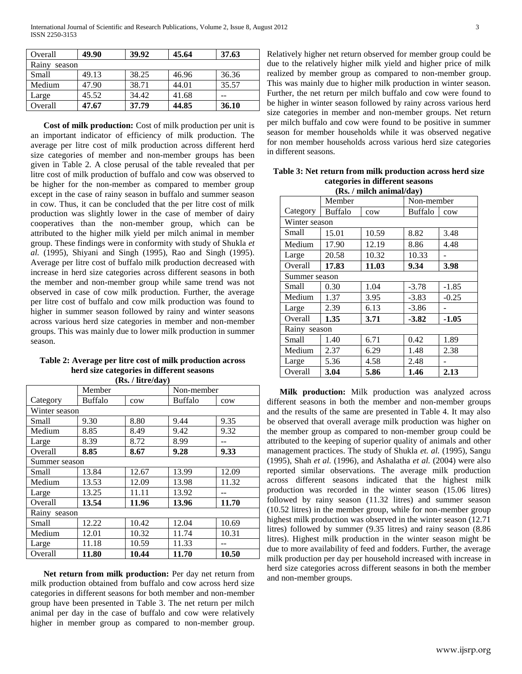| Overall         | 49.90 | 39.92 | 45.64 | 37.63 |  |  |  |  |
|-----------------|-------|-------|-------|-------|--|--|--|--|
| Rainy<br>season |       |       |       |       |  |  |  |  |
| Small           | 49.13 | 38.25 | 46.96 | 36.36 |  |  |  |  |
| Medium          | 47.90 | 38.71 | 44.01 | 35.57 |  |  |  |  |
| Large           | 45.52 | 34.42 | 41.68 |       |  |  |  |  |
| Overall         | 47.67 | 37.79 | 44.85 | 36.10 |  |  |  |  |

 **Cost of milk production:** Cost of milk production per unit is an important indicator of efficiency of milk production. The average per litre cost of milk production across different herd size categories of member and non-member groups has been given in Table 2. A close perusal of the table revealed that per litre cost of milk production of buffalo and cow was observed to be higher for the non-member as compared to member group except in the case of rainy season in buffalo and summer season in cow. Thus, it can be concluded that the per litre cost of milk production was slightly lower in the case of member of dairy cooperatives than the non-member group, which can be attributed to the higher milk yield per milch animal in member group. These findings were in conformity with study of Shukla *et al.* (1995), Shiyani and Singh (1995), Rao and Singh (1995). Average per litre cost of buffalo milk production decreased with increase in herd size categories across different seasons in both the member and non-member group while same trend was not observed in case of cow milk production. Further, the average per litre cost of buffalo and cow milk production was found to higher in summer season followed by rainy and winter seasons across various herd size categories in member and non-member groups. This was mainly due to lower milk production in summer season.

| Table 2: Average per litre cost of milk production across |
|-----------------------------------------------------------|
| herd size categories in different seasons                 |
| (D <sub>c</sub> / lim <sub>0</sub> /dur)                  |

| (IS), / IIII C/Udy / |                |       |            |       |  |  |  |
|----------------------|----------------|-------|------------|-------|--|--|--|
|                      | Member         |       | Non-member |       |  |  |  |
| Category             | <b>Buffalo</b> | cow   | Buffalo    | cow   |  |  |  |
| Winter season        |                |       |            |       |  |  |  |
| Small                | 9.30           | 8.80  | 9.44       | 9.35  |  |  |  |
| Medium               | 8.85           | 8.49  | 9.42       | 9.32  |  |  |  |
| Large                | 8.39           | 8.72  | 8.99       |       |  |  |  |
| Overall              | 8.85           | 8.67  | 9.28       | 9.33  |  |  |  |
| Summer season        |                |       |            |       |  |  |  |
| Small                | 13.84          | 12.67 | 13.99      | 12.09 |  |  |  |
| Medium               | 13.53          | 12.09 | 13.98      | 11.32 |  |  |  |
| Large                | 13.25          | 11.11 | 13.92      |       |  |  |  |
| Overall              | 13.54          | 11.96 | 13.96      | 11.70 |  |  |  |
| Rainy season         |                |       |            |       |  |  |  |
| Small                | 12.22          | 10.42 | 12.04      | 10.69 |  |  |  |
| Medium               | 12.01          | 10.32 | 11.74      | 10.31 |  |  |  |
| Large                | 11.18          | 10.59 | 11.33      | --    |  |  |  |
| Overall              | 11.80          | 10.44 | 11.70      | 10.50 |  |  |  |

 **Net return from milk production:** Per day net return from milk production obtained from buffalo and cow across herd size categories in different seasons for both member and non-member group have been presented in Table 3. The net return per milch animal per day in the case of buffalo and cow were relatively higher in member group as compared to non-member group. Relatively higher net return observed for member group could be due to the relatively higher milk yield and higher price of milk realized by member group as compared to non-member group. This was mainly due to higher milk production in winter season. Further, the net return per milch buffalo and cow were found to be higher in winter season followed by rainy across various herd size categories in member and non-member groups. Net return per milch buffalo and cow were found to be positive in summer season for member households while it was observed negative for non member households across various herd size categories in different seasons.

**Table 3: Net return from milk production across herd size categories in different seasons**  $\overline{p}_s$  / milch animal/day)

| (RS. / ШИСП АШШАІ/QAV) |                       |       |            |         |  |  |  |
|------------------------|-----------------------|-------|------------|---------|--|--|--|
|                        | Member                |       | Non-member |         |  |  |  |
| Category               | <b>Buffalo</b><br>cow |       | Buffalo    | cow     |  |  |  |
|                        | Winter season         |       |            |         |  |  |  |
| Small                  | 15.01                 | 10.59 | 8.82       | 3.48    |  |  |  |
| Medium                 | 17.90                 | 12.19 | 8.86       | 4.48    |  |  |  |
| Large                  | 20.58                 | 10.32 | 10.33      |         |  |  |  |
| Overall                | 17.83                 | 11.03 | 9.34       | 3.98    |  |  |  |
|                        | Summer season         |       |            |         |  |  |  |
| Small                  | 0.30                  | 1.04  | $-3.78$    | $-1.85$ |  |  |  |
| Medium                 | 1.37                  | 3.95  | $-3.83$    | $-0.25$ |  |  |  |
| Large                  | 2.39                  | 6.13  | $-3.86$    |         |  |  |  |
| Overall                | 1.35                  | 3.71  | $-3.82$    | $-1.05$ |  |  |  |
|                        | Rainy season          |       |            |         |  |  |  |
| Small                  | 1.40                  | 6.71  | 0.42       | 1.89    |  |  |  |
| Medium                 | 2.37                  | 6.29  | 1.48       | 2.38    |  |  |  |
| Large                  | 5.36                  | 4.58  | 2.48       |         |  |  |  |
| Overall                | 3.04                  | 5.86  | 1.46       | 2.13    |  |  |  |

 **Milk production:** Milk production was analyzed across different seasons in both the member and non-member groups and the results of the same are presented in Table 4. It may also be observed that overall average milk production was higher on the member group as compared to non-member group could be attributed to the keeping of superior quality of animals and other management practices. The study of Shukla *et. al.* (1995), Sangu (1995), Shah *et al.* (1996), and Ashalatha *et al.* (2004) were also reported similar observations. The average milk production across different seasons indicated that the highest milk production was recorded in the winter season (15.06 litres) followed by rainy season (11.32 litres) and summer season (10.52 litres) in the member group, while for non-member group highest milk production was observed in the winter season (12.71 litres) followed by summer (9.35 litres) and rainy season (8.86 litres). Highest milk production in the winter season might be due to more availability of feed and fodders. Further, the average milk production per day per household increased with increase in herd size categories across different seasons in both the member and non-member groups.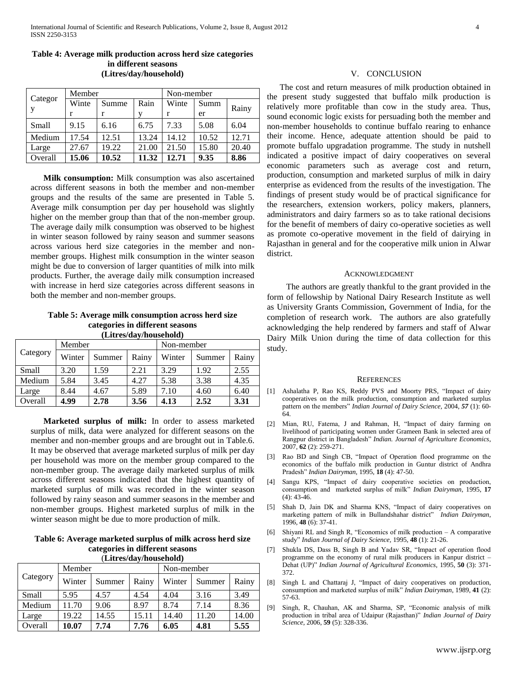| Categor<br><sup>V</sup> | Member |       |       | Non-member |       |       |
|-------------------------|--------|-------|-------|------------|-------|-------|
|                         | Winte  | Summe | Rain  | Winte      | Summ  |       |
|                         |        | r     | v     |            | er    | Rainy |
| Small                   | 9.15   | 6.16  | 6.75  | 7.33       | 5.08  | 6.04  |
| Medium                  | 17.54  | 12.51 | 13.24 | 14.12      | 10.52 | 12.71 |
| Large                   | 27.67  | 19.22 | 21.00 | 21.50      | 15.80 | 20.40 |
| Overall                 | 15.06  | 10.52 | 11.32 | 12.71      | 9.35  | 8.86  |

## **Table 4: Average milk production across herd size categories in different seasons (Litres/day/household)**

 **Milk consumption:** Milk consumption was also ascertained across different seasons in both the member and non-member groups and the results of the same are presented in Table 5. Average milk consumption per day per household was slightly higher on the member group than that of the non-member group. The average daily milk consumption was observed to be highest in winter season followed by rainy season and summer seasons across various herd size categories in the member and nonmember groups. Highest milk consumption in the winter season might be due to conversion of larger quantities of milk into milk products. Further, the average daily milk consumption increased with increase in herd size categories across different seasons in both the member and non-member groups.

#### **Table 5: Average milk consumption across herd size categories in different seasons (Litres/day/household)**

| $\mu$    |        |        |       |            |        |       |  |  |
|----------|--------|--------|-------|------------|--------|-------|--|--|
| Category | Member |        |       | Non-member |        |       |  |  |
|          | Winter | Summer | Rainy | Winter     | Summer | Rainy |  |  |
| Small    | 3.20   | 1.59   | 2.21  | 3.29       | 1.92   | 2.55  |  |  |
| Medium   | 5.84   | 3.45   | 4.27  | 5.38       | 3.38   | 4.35  |  |  |
| Large    | 8.44   | 4.67   | 5.89  | 7.10       | 4.60   | 6.40  |  |  |
| Overall  | 4.99   | 2.78   | 3.56  | 4.13       | 2.52   | 3.31  |  |  |

 **Marketed surplus of milk:** In order to assess marketed surplus of milk, data were analyzed for different seasons on the member and non-member groups and are brought out in Table.6. It may be observed that average marketed surplus of milk per day per household was more on the member group compared to the non-member group. The average daily marketed surplus of milk across different seasons indicated that the highest quantity of marketed surplus of milk was recorded in the winter season followed by rainy season and summer seasons in the member and non-member groups. Highest marketed surplus of milk in the winter season might be due to more production of milk.

### **Table 6: Average marketed surplus of milk across herd size categories in different seasons** (**Litres/day/household)**

| $\mu$ . $\mu$ |        |        |       |            |        |       |  |
|---------------|--------|--------|-------|------------|--------|-------|--|
| Category      | Member |        |       | Non-member |        |       |  |
|               | Winter | Summer | Rainy | Winter     | Summer | Rainy |  |
| Small         | 5.95   | 4.57   | 4.54  | 4.04       | 3.16   | 3.49  |  |
| Medium        | 11.70  | 9.06   | 8.97  | 8.74       | 7.14   | 8.36  |  |
| Large         | 19.22  | 14.55  | 15.11 | 14.40      | 11.20  | 14.00 |  |
| Overall       | 10.07  | 7.74   | 7.76  | 6.05       | 4.81   | 5.55  |  |

#### V. CONCLUSION

 The cost and return measures of milk production obtained in the present study suggested that buffalo milk production is relatively more profitable than cow in the study area. Thus, sound economic logic exists for persuading both the member and non-member households to continue buffalo rearing to enhance their income. Hence, adequate attention should be paid to promote buffalo upgradation programme. The study in nutshell indicated a positive impact of dairy cooperatives on several economic parameters such as average cost and return, production, consumption and marketed surplus of milk in dairy enterprise as evidenced from the results of the investigation. The findings of present study would be of practical significance for the researchers, extension workers, policy makers, planners, administrators and dairy farmers so as to take rational decisions for the benefit of members of dairy co-operative societies as well as promote co-operative movement in the field of dairying in Rajasthan in general and for the cooperative milk union in Alwar district.

#### ACKNOWLEDGMENT

 The authors are greatly thankful to the grant provided in the form of fellowship by National Dairy Research Institute as well as University Grants Commission, Government of India, for the completion of research work. The authors are also gratefully acknowledging the help rendered by farmers and staff of Alwar Dairy Milk Union during the time of data collection for this study.

#### **REFERENCES**

- [1] Ashalatha P, Rao KS, Reddy PVS and Moorty PRS, "Impact of dairy cooperatives on the milk production, consumption and marketed surplus pattern on the members" *Indian Journal of Dairy Science,* 2004, *57* (1): 60- 64.
- [2] Mian, RU, Fatema, J and Rahman, H, "Impact of dairy farming on livelihood of participating women under Grameen Bank in selected area of Rangpur district in Bangladesh" *Indian. Journal of Agriculture Economics*, 2007, **62** (2): 259-271.
- [3] Rao BD and Singh CB, "Impact of Operation flood programme on the economics of the buffalo milk production in Guntur district of Andhra Pradesh" *Indian Dairyman,* 1995, **18** (4): 47-50.
- [4] Sangu KPS, "Impact of dairy cooperative societies on production, consumption and marketed surplus of milk" *Indian Dairyman,* 1995, **17**   $(4): 43-46.$
- [5] Shah D, Jain DK and Sharma KNS, "Impact of dairy cooperatives on marketing pattern of milk in Bullandshahar district" *Indian Dairyman,* 1996, **48** (6): 37-41.
- [6] Shiyani RL and Singh R, "Economics of milk production A comparative study" *Indian Journal of Dairy Science,* 1995, **48** (1): 21-26.
- [7] Shukla DS, Dass B, Singh B and Yadav SR, "Impact of operation flood programme on the economy of rural milk producers in Kanpur district – Dehat (UP)" *Indian Journal of Agricultural Economics,* 1995, **50** (3): 371- 372.
- [8] Singh L and Chattaraj J, "Impact of dairy cooperatives on production, consumption and marketed surplus of milk" *Indian Dairyman*, 1989, **41** (2): 57-63.
- [9] Singh, R, Chauhan, AK and Sharma, SP, "Economic analysis of milk production in tribal area of Udaipur (Rajasthan)" *Indian Journal of Dairy Science*, 2006, **59** (5): 328-336.